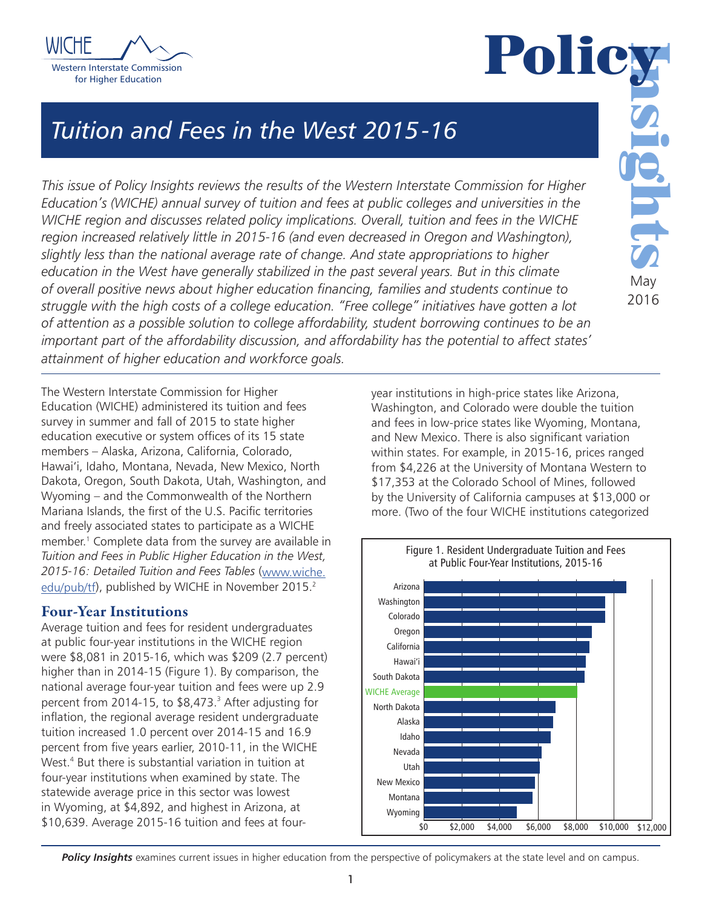



May 2016

# *Tuition and Fees in the West 2015-16*

*This issue of Policy Insights reviews the results of the Western Interstate Commission for Higher Education's (WICHE) annual survey of tuition and fees at public colleges and universities in the WICHE region and discusses related policy implications. Overall, tuition and fees in the WICHE region increased relatively little in 2015-16 (and even decreased in Oregon and Washington), slightly less than the national average rate of change. And state appropriations to higher education in the West have generally stabilized in the past several years. But in this climate of overall positive news about higher education financing, families and students continue to struggle with the high costs of a college education. "Free college" initiatives have gotten a lot of attention as a possible solution to college affordability, student borrowing continues to be an important part of the affordability discussion, and affordability has the potential to affect states' attainment of higher education and workforce goals.*

The Western Interstate Commission for Higher Education (WICHE) administered its tuition and fees survey in summer and fall of 2015 to state higher education executive or system offices of its 15 state members – Alaska, Arizona, California, Colorado, Hawai'i, Idaho, Montana, Nevada, New Mexico, North Dakota, Oregon, South Dakota, Utah, Washington, and Wyoming – and the Commonwealth of the Northern Mariana Islands, the first of the U.S. Pacific territories and freely associated states to participate as a WICHE member.1 Complete data from the survey are available in *Tuition and Fees in Public Higher Education in the West, 2015-16: Detailed Tuition and Fees Tables* (www.wiche. edu/pub/tf), published by WICHE in November 2015.<sup>2</sup>

# Four-Year Institutions

Average tuition and fees for resident undergraduates at public four-year institutions in the WICHE region were \$8,081 in 2015-16, which was \$209 (2.7 percent) higher than in 2014-15 (Figure 1). By comparison, the national average four-year tuition and fees were up 2.9 percent from 2014-15, to \$8,473.<sup>3</sup> After adjusting for inflation, the regional average resident undergraduate tuition increased 1.0 percent over 2014-15 and 16.9 percent from five years earlier, 2010-11, in the WICHE West.<sup>4</sup> But there is substantial variation in tuition at four-year institutions when examined by state. The statewide average price in this sector was lowest in Wyoming, at \$4,892, and highest in Arizona, at \$10,639. Average 2015-16 tuition and fees at fouryear institutions in high-price states like Arizona, Washington, and Colorado were double the tuition and fees in low-price states like Wyoming, Montana, and New Mexico. There is also significant variation within states. For example, in 2015-16, prices ranged from \$4,226 at the University of Montana Western to \$17,353 at the Colorado School of Mines, followed by the University of California campuses at \$13,000 or more. (Two of the four WICHE institutions categorized



**Policy Insights** examines current issues in higher education from the perspective of policymakers at the state level and on campus.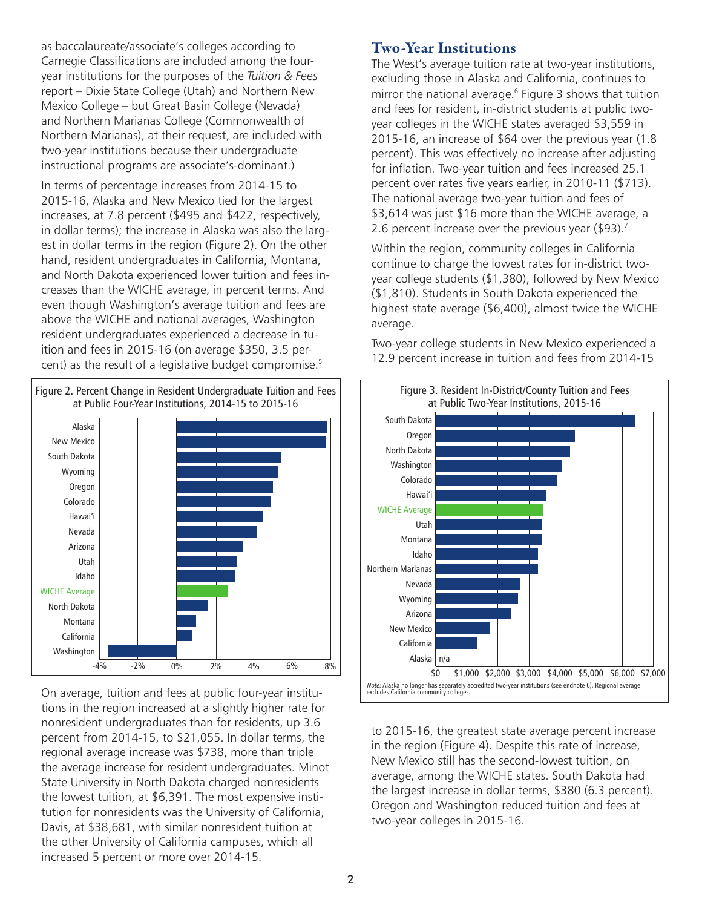as baccalaureate/associate's colleges according to Carnegie Classifications are included among the fouryear institutions for the purposes of the *Tuition & Fees* report – Dixie State College (Utah) and Northern New Mexico College – but Great Basin College (Nevada) and Northern Marianas College (Commonwealth of Northern Marianas), at their request, are included with two-year institutions because their undergraduate instructional programs are associate's-dominant.)

In terms of percentage increases from 2014-15 to 2015-16, Alaska and New Mexico tied for the largest increases, at 7.8 percent (\$495 and \$422, respectively, in dollar terms); the increase in Alaska was also the largest in dollar terms in the region (Figure 2). On the other hand, resident undergraduates in California, Montana, and North Dakota experienced lower tuition and fees increases than the WICHE average, in percent terms. And even though Washington's average tuition and fees are above the WICHE and national averages, Washington resident undergraduates experienced a decrease in tuition and fees in 2015-16 (on average \$350, 3.5 percent) as the result of a legislative budget compromise.<sup>5</sup>



On average, tuition and fees at public four-year institutions in the region increased at a slightly higher rate for nonresident undergraduates than for residents, up 3.6 percent from 2014-15, to \$21,055. In dollar terms, the regional average increase was \$738, more than triple the average increase for resident undergraduates. Minot State University in North Dakota charged nonresidents the lowest tuition, at \$6,391. The most expensive institution for nonresidents was the University of California, Davis, at \$38,681, with similar nonresident tuition at the other University of California campuses, which all increased 5 percent or more over 2014-15.

#### Two-Year Institutions

The West's average tuition rate at two-year institutions, excluding those in Alaska and California, continues to mirror the national average.<sup>6</sup> Figure 3 shows that tuition and fees for resident, in-district students at public twoyear colleges in the WICHE states averaged \$3,559 in 2015-16, an increase of \$64 over the previous year (1.8 percent). This was effectively no increase after adjusting for inflation. Two-year tuition and fees increased 25.1 percent over rates five years earlier, in 2010-11 (\$713). The national average two-year tuition and fees of \$3,614 was just \$16 more than the WICHE average, a 2.6 percent increase over the previous year  $($93).^7$ 

Within the region, community colleges in California continue to charge the lowest rates for in-district twoyear college students (\$1,380), followed by New Mexico (\$1,810). Students in South Dakota experienced the highest state average (\$6,400), almost twice the WICHE average.

Two-year college students in New Mexico experienced a 12.9 percent increase in tuition and fees from 2014-15



to 2015-16, the greatest state average percent increase in the region (Figure 4). Despite this rate of increase, New Mexico still has the second-lowest tuition, on average, among the WICHE states. South Dakota had the largest increase in dollar terms, \$380 (6.3 percent). Oregon and Washington reduced tuition and fees at two-year colleges in 2015-16.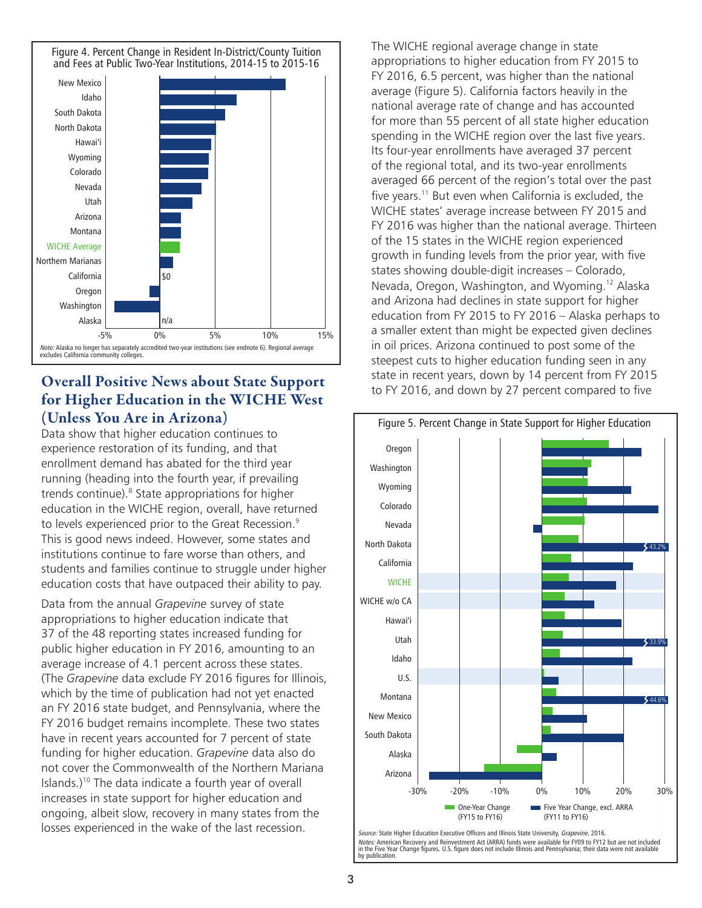

# Overall Positive News about State Support for Higher Education in the WICHE West (Unless You Are in Arizona)

Data show that higher education continues to experience restoration of its funding, and that enrollment demand has abated for the third year running (heading into the fourth year, if prevailing trends continue).<sup>8</sup> State appropriations for higher education in the WICHE region, overall, have returned to levels experienced prior to the Great Recession.<sup>9</sup> This is good news indeed. However, some states and institutions continue to fare worse than others, and students and families continue to struggle under higher education costs that have outpaced their ability to pay.

Data from the annual *Grapevine* survey of state appropriations to higher education indicate that 37 of the 48 reporting states increased funding for public higher education in FY 2016, amounting to an average increase of 4.1 percent across these states. (The *Grapevine* data exclude FY 2016 figures for Illinois, which by the time of publication had not yet enacted an FY 2016 state budget, and Pennsylvania, where the FY 2016 budget remains incomplete. These two states have in recent years accounted for 7 percent of state funding for higher education. *Grapevine* data also do not cover the Commonwealth of the Northern Mariana Islands.)<sup>10</sup> The data indicate a fourth year of overall increases in state support for higher education and ongoing, albeit slow, recovery in many states from the losses experienced in the wake of the last recession.

The WICHE regional average change in state appropriations to higher education from FY 2015 to FY 2016, 6.5 percent, was higher than the national average (Figure 5). California factors heavily in the national average rate of change and has accounted for more than 55 percent of all state higher education spending in the WICHE region over the last five years. Its four-year enrollments have averaged 37 percent of the regional total, and its two-year enrollments averaged 66 percent of the region's total over the past five years.<sup>11</sup> But even when California is excluded, the WICHE states' average increase between FY 2015 and FY 2016 was higher than the national average. Thirteen of the 15 states in the WICHE region experienced growth in funding levels from the prior year, with five states showing double-digit increases – Colorado, Nevada, Oregon, Washington, and Wyoming.12 Alaska and Arizona had declines in state support for higher education from FY 2015 to FY 2016 – Alaska perhaps to a smaller extent than might be expected given declines in oil prices. Arizona continued to post some of the steepest cuts to higher education funding seen in any state in recent years, down by 14 percent from FY 2015 to FY 2016, and down by 27 percent compared to five



Source: State Higher Education Executive Officers and Illinois State University, Grapevine, 2016. *Notes:* American Recovery and Reinvestment Act (ARRA) funds were available for FY09 to FY12 but are not included<br>in the Five Year Change figures. U.S. figure does not include Illinois and Pennsylvania; their data were not by publication.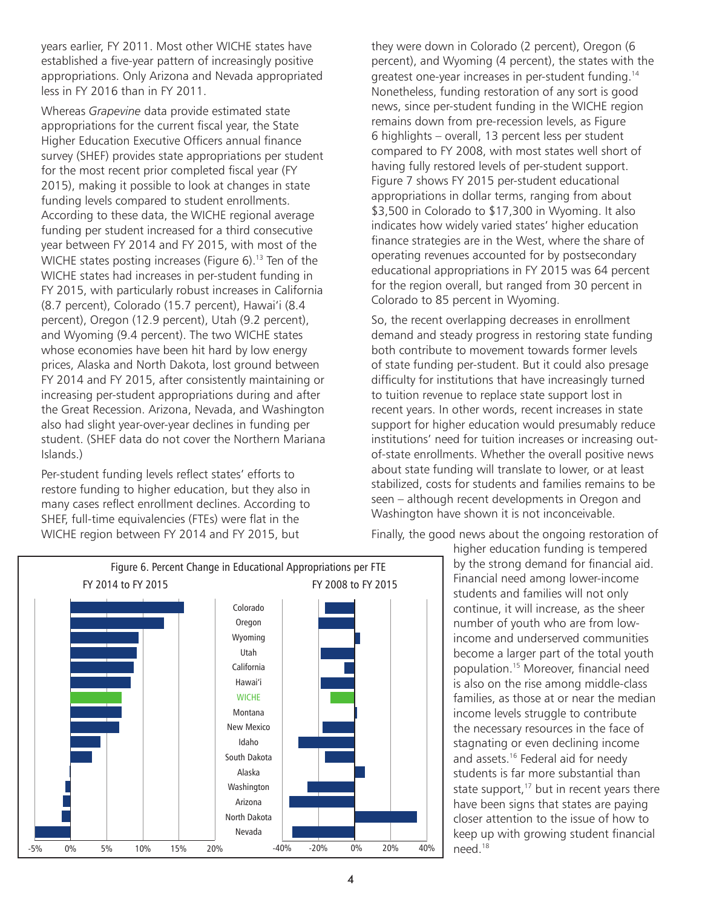years earlier, FY 2011. Most other WICHE states have established a five-year pattern of increasingly positive appropriations. Only Arizona and Nevada appropriated less in FY 2016 than in FY 2011.

Whereas *Grapevine* data provide estimated state appropriations for the current fiscal year, the State Higher Education Executive Officers annual finance survey (SHEF) provides state appropriations per student for the most recent prior completed fiscal year (FY 2015), making it possible to look at changes in state funding levels compared to student enrollments. According to these data, the WICHE regional average funding per student increased for a third consecutive year between FY 2014 and FY 2015, with most of the WICHE states posting increases (Figure 6).<sup>13</sup> Ten of the WICHE states had increases in per-student funding in FY 2015, with particularly robust increases in California (8.7 percent), Colorado (15.7 percent), Hawai'i (8.4 percent), Oregon (12.9 percent), Utah (9.2 percent), and Wyoming (9.4 percent). The two WICHE states whose economies have been hit hard by low energy prices, Alaska and North Dakota, lost ground between FY 2014 and FY 2015, after consistently maintaining or increasing per-student appropriations during and after the Great Recession. Arizona, Nevada, and Washington also had slight year-over-year declines in funding per student. (SHEF data do not cover the Northern Mariana Islands.)

Per-student funding levels reflect states' efforts to restore funding to higher education, but they also in many cases reflect enrollment declines. According to SHEF, full-time equivalencies (FTEs) were flat in the WICHE region between FY 2014 and FY 2015, but

they were down in Colorado (2 percent), Oregon (6 percent), and Wyoming (4 percent), the states with the greatest one-year increases in per-student funding.14 Nonetheless, funding restoration of any sort is good news, since per-student funding in the WICHE region remains down from pre-recession levels, as Figure 6 highlights – overall, 13 percent less per student compared to FY 2008, with most states well short of having fully restored levels of per-student support. Figure 7 shows FY 2015 per-student educational appropriations in dollar terms, ranging from about \$3,500 in Colorado to \$17,300 in Wyoming. It also indicates how widely varied states' higher education finance strategies are in the West, where the share of operating revenues accounted for by postsecondary educational appropriations in FY 2015 was 64 percent for the region overall, but ranged from 30 percent in Colorado to 85 percent in Wyoming.

So, the recent overlapping decreases in enrollment demand and steady progress in restoring state funding both contribute to movement towards former levels of state funding per-student. But it could also presage difficulty for institutions that have increasingly turned to tuition revenue to replace state support lost in recent years. In other words, recent increases in state support for higher education would presumably reduce institutions' need for tuition increases or increasing outof-state enrollments. Whether the overall positive news about state funding will translate to lower, or at least stabilized, costs for students and families remains to be seen – although recent developments in Oregon and Washington have shown it is not inconceivable.

Finally, the good news about the ongoing restoration of

higher education funding is tempered by the strong demand for financial aid. Financial need among lower-income students and families will not only continue, it will increase, as the sheer number of youth who are from lowincome and underserved communities become a larger part of the total youth population.15 Moreover, financial need is also on the rise among middle-class families, as those at or near the median income levels struggle to contribute the necessary resources in the face of stagnating or even declining income and assets.<sup>16</sup> Federal aid for needy students is far more substantial than state support, $17$  but in recent years there have been signs that states are paying closer attention to the issue of how to keep up with growing student financial

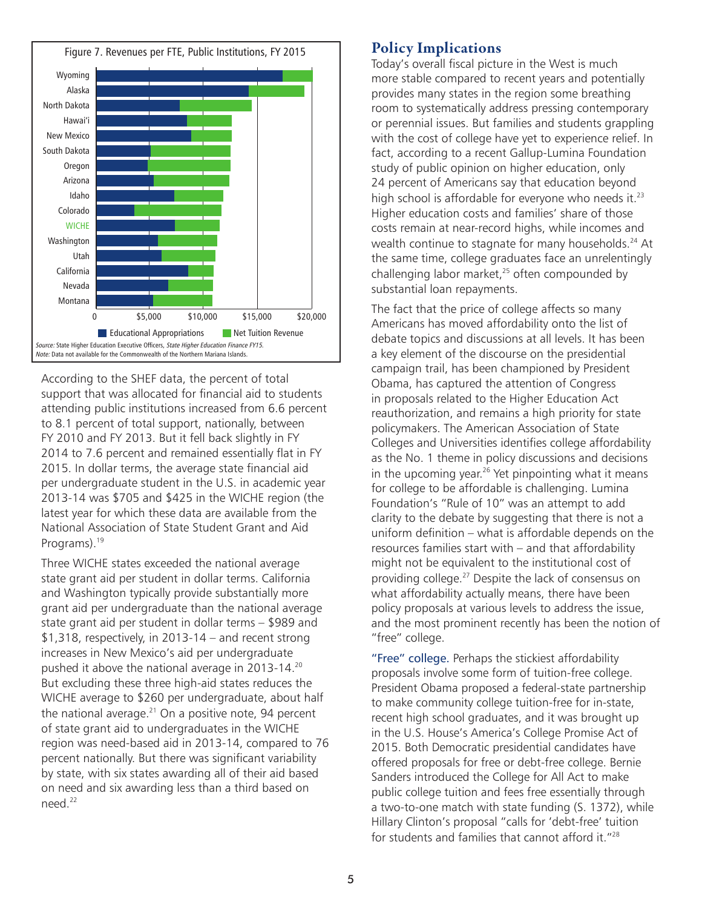

According to the SHEF data, the percent of total According to the SHEF data, the percent of total support that was allocated for financial aid to students support that was allocated for financial aid to students attending public institutions increased from 6.6 percent attending public institutions increased from 6.6 percent to 8.1 percent of total support, nationally, between FY 2010 and FY 2013. But it fell back slightly in FY FY 2010 and FY 2013. But it fell back slightly in FY 2014 to 7.6 percent and remained essentially flat in FY 2014 to 7.6 percent and remained essentially flat in FY 2015. In dollar terms, the average state financial aid 2015. In dollar terms, the average state financial aid per undergraduate student in the U.S. in academic year per undergraduate student in the U.S. in academic year 2013-14 was \$705 and \$425 in the WICHE region (the 2013-14 was \$705 and \$425 in the WICHE region (the latest year for which these data are available from the latest year for which these data are available from the National Association of State Student Grant and Aid National Association of State Student Grant and Aid Programs).<sup>19</sup>

Three WICHE states exceeded the national average Three WICHE states exceeded the national average state grant aid per student in dollar terms. California state grant aid per student in dollar terms. California and Washington typically provide substantially more and Washington typically provide substantially more grant aid per undergraduate than the national average grant aid per undergraduate than the national average state grant aid per student in dollar terms – \$989 and state grant aid per student in dollar terms – \$989 and \$1,318, respectively, in 2013-14 – and recent strong \$1,318, respectively, in 2013-14 – and recent strong increases in New Mexico's aid per undergraduate increases in New Mexico's aid per undergraduate pushed it above the national average in 2013-14.<sup>20</sup> But excluding these three high-aid states reduces the But excluding these three high-aid states reduces the WICHE average to \$260 per undergraduate, about half WICHE average to \$260 per undergraduate, about half the national average.<sup>21</sup> On a positive note, 94 percent of state grant aid to undergraduates in the WICHE of state grant aid to undergraduates in the WICHE region was need-based aid in 2013-14, compared to 76 region was need-based aid in 2013-14, compared to 76 percent nationally. But there was significant variability percent nationally. But there was significant variability by state, with six states awarding all of their aid based by state, with six states awarding all of their aid based on need and six awarding less than a third based on need.<sup>22</sup>

#### Policy Implications:  $\blacksquare$

Today's overall fiscal picture in the West is much more stable compared to recent years and potentially provides many states in the region some breathing room to systematically address pressing contemporary or perennial issues. But families and students grappling with the cost of college have yet to experience relief. In fact, according to a recent Gallup-Lumina Foundation study of public opinion on higher education, only 24 percent of Americans say that education beyond high school is affordable for everyone who needs it. $^{23}$ Higher education costs and families' share of those costs remain at near-record highs, while incomes and wealth continue to stagnate for many households. $^{24}$  At the same time, college graduates face an unrelentingly challenging labor market,<sup>25</sup> often compounded by substantial loan repayments.

The fact that the price of college affects so many Americans has moved affordability onto the list of debate topics and discussions at all levels. It has been a key element of the discourse on the presidential campaign trail, has been championed by President Obama, has captured the attention of Congress in proposals related to the Higher Education Act reauthorization, and remains a high priority for state policymakers. The American Association of State Colleges and Universities identifies college affordability as the No. 1 theme in policy discussions and decisions in the upcoming year.<sup>26</sup> Yet pinpointing what it means for college to be affordable is challenging. Lumina<br>— Foundation's "Rule of 10" was an attempt to add clarity to the debate by suggesting that there is not a uniform definition – what is affordable depends on the resources families start with – and that affordability might not be equivalent to the institutional cost of providing college.<sup>27</sup> Despite the lack of consensus on what affordability actually means, there have been policy proposals at various levels to address the issue, and the most prominent recently has been the notion of "free" college.

"Free" college. Perhaps the stickiest affordability proposals involve some form of tuition-free college. President Obama proposed a federal-state partnership to make community college tuition-free for in-state, recent high school graduates, and it was brought up in the U.S. House's America's College Promise Act of 2015. Both Democratic presidential candidates have offered proposals for free or debt-free college. Bernie Sanders introduced the College for All Act to make public college tuition and fees free essentially through a two-to-one match with state funding (S. 1372), while Hillary Clinton's proposal "calls for 'debt-free' tuition for students and families that cannot afford it."<sup>28</sup>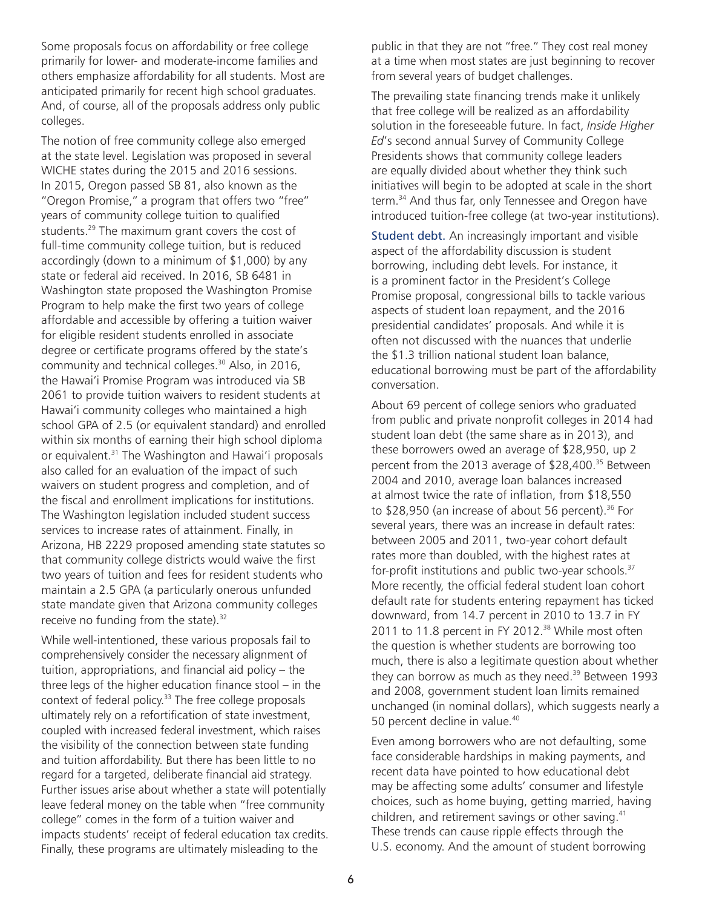Some proposals focus on affordability or free college primarily for lower- and moderate-income families and others emphasize affordability for all students. Most are anticipated primarily for recent high school graduates. And, of course, all of the proposals address only public colleges.

The notion of free community college also emerged at the state level. Legislation was proposed in several WICHE states during the 2015 and 2016 sessions. In 2015, Oregon passed SB 81, also known as the "Oregon Promise," a program that offers two "free" years of community college tuition to qualified students.29 The maximum grant covers the cost of full-time community college tuition, but is reduced accordingly (down to a minimum of \$1,000) by any state or federal aid received. In 2016, SB 6481 in Washington state proposed the Washington Promise Program to help make the first two years of college affordable and accessible by offering a tuition waiver for eligible resident students enrolled in associate degree or certificate programs offered by the state's community and technical colleges.30 Also, in 2016, the Hawai'i Promise Program was introduced via SB 2061 to provide tuition waivers to resident students at Hawai'i community colleges who maintained a high school GPA of 2.5 (or equivalent standard) and enrolled within six months of earning their high school diploma or equivalent.<sup>31</sup> The Washington and Hawai'i proposals also called for an evaluation of the impact of such waivers on student progress and completion, and of the fiscal and enrollment implications for institutions. The Washington legislation included student success services to increase rates of attainment. Finally, in Arizona, HB 2229 proposed amending state statutes so that community college districts would waive the first two years of tuition and fees for resident students who maintain a 2.5 GPA (a particularly onerous unfunded state mandate given that Arizona community colleges receive no funding from the state).<sup>32</sup>

While well-intentioned, these various proposals fail to comprehensively consider the necessary alignment of tuition, appropriations, and financial aid policy – the three legs of the higher education finance stool – in the context of federal policy.<sup>33</sup> The free college proposals ultimately rely on a refortification of state investment, coupled with increased federal investment, which raises the visibility of the connection between state funding and tuition affordability. But there has been little to no regard for a targeted, deliberate financial aid strategy. Further issues arise about whether a state will potentially leave federal money on the table when "free community college" comes in the form of a tuition waiver and impacts students' receipt of federal education tax credits. Finally, these programs are ultimately misleading to the

public in that they are not "free." They cost real money at a time when most states are just beginning to recover from several years of budget challenges.

The prevailing state financing trends make it unlikely that free college will be realized as an affordability solution in the foreseeable future. In fact, *Inside Higher Ed*'s second annual Survey of Community College Presidents shows that community college leaders are equally divided about whether they think such initiatives will begin to be adopted at scale in the short term.<sup>34</sup> And thus far, only Tennessee and Oregon have introduced tuition-free college (at two-year institutions).

Student debt. An increasingly important and visible aspect of the affordability discussion is student borrowing, including debt levels. For instance, it is a prominent factor in the President's College Promise proposal, congressional bills to tackle various aspects of student loan repayment, and the 2016 presidential candidates' proposals. And while it is often not discussed with the nuances that underlie the \$1.3 trillion national student loan balance, educational borrowing must be part of the affordability conversation.

About 69 percent of college seniors who graduated from public and private nonprofit colleges in 2014 had student loan debt (the same share as in 2013), and these borrowers owed an average of \$28,950, up 2 percent from the 2013 average of \$28,400.<sup>35</sup> Between 2004 and 2010, average loan balances increased at almost twice the rate of inflation, from \$18,550 to \$28,950 (an increase of about 56 percent).<sup>36</sup> For several years, there was an increase in default rates: between 2005 and 2011, two-year cohort default rates more than doubled, with the highest rates at for-profit institutions and public two-year schools.<sup>37</sup> More recently, the official federal student loan cohort default rate for students entering repayment has ticked downward, from 14.7 percent in 2010 to 13.7 in FY 2011 to 11.8 percent in FY 2012.<sup>38</sup> While most often the question is whether students are borrowing too much, there is also a legitimate question about whether they can borrow as much as they need. $39$  Between 1993 and 2008, government student loan limits remained unchanged (in nominal dollars), which suggests nearly a 50 percent decline in value.<sup>40</sup>

Even among borrowers who are not defaulting, some face considerable hardships in making payments, and recent data have pointed to how educational debt may be affecting some adults' consumer and lifestyle choices, such as home buying, getting married, having children, and retirement savings or other saving.<sup>41</sup> These trends can cause ripple effects through the U.S. economy. And the amount of student borrowing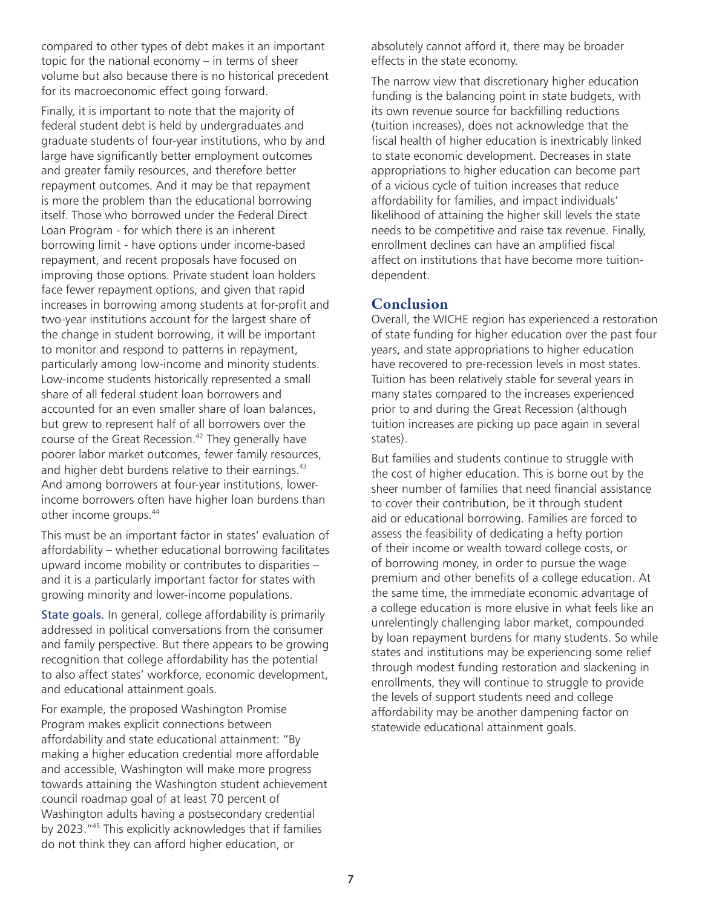compared to other types of debt makes it an important topic for the national economy – in terms of sheer volume but also because there is no historical precedent for its macroeconomic effect going forward.

Finally, it is important to note that the majority of federal student debt is held by undergraduates and graduate students of four-year institutions, who by and large have significantly better employment outcomes and greater family resources, and therefore better repayment outcomes. And it may be that repayment is more the problem than the educational borrowing itself. Those who borrowed under the Federal Direct Loan Program - for which there is an inherent borrowing limit - have options under income-based repayment, and recent proposals have focused on improving those options. Private student loan holders face fewer repayment options, and given that rapid increases in borrowing among students at for-profit and two-year institutions account for the largest share of the change in student borrowing, it will be important to monitor and respond to patterns in repayment, particularly among low-income and minority students. Low-income students historically represented a small share of all federal student loan borrowers and accounted for an even smaller share of loan balances, but grew to represent half of all borrowers over the course of the Great Recession.<sup>42</sup> They generally have poorer labor market outcomes, fewer family resources, and higher debt burdens relative to their earnings.<sup>43</sup> And among borrowers at four-year institutions, lowerincome borrowers often have higher loan burdens than other income groups.44

This must be an important factor in states' evaluation of affordability – whether educational borrowing facilitates upward income mobility or contributes to disparities – and it is a particularly important factor for states with growing minority and lower-income populations.

State goals. In general, college affordability is primarily addressed in political conversations from the consumer and family perspective. But there appears to be growing recognition that college affordability has the potential to also affect states' workforce, economic development, and educational attainment goals.

For example, the proposed Washington Promise Program makes explicit connections between affordability and state educational attainment: "By making a higher education credential more affordable and accessible, Washington will make more progress towards attaining the Washington student achievement council roadmap goal of at least 70 percent of Washington adults having a postsecondary credential by 2023."45 This explicitly acknowledges that if families do not think they can afford higher education, or

absolutely cannot afford it, there may be broader effects in the state economy.

The narrow view that discretionary higher education funding is the balancing point in state budgets, with its own revenue source for backfilling reductions (tuition increases), does not acknowledge that the fiscal health of higher education is inextricably linked to state economic development. Decreases in state appropriations to higher education can become part of a vicious cycle of tuition increases that reduce affordability for families, and impact individuals' likelihood of attaining the higher skill levels the state needs to be competitive and raise tax revenue. Finally, enrollment declines can have an amplified fiscal affect on institutions that have become more tuitiondependent.

#### Conclusion

Overall, the WICHE region has experienced a restoration of state funding for higher education over the past four years, and state appropriations to higher education have recovered to pre-recession levels in most states. Tuition has been relatively stable for several years in many states compared to the increases experienced prior to and during the Great Recession (although tuition increases are picking up pace again in several states).

But families and students continue to struggle with the cost of higher education. This is borne out by the sheer number of families that need financial assistance to cover their contribution, be it through student aid or educational borrowing. Families are forced to assess the feasibility of dedicating a hefty portion of their income or wealth toward college costs, or of borrowing money, in order to pursue the wage premium and other benefits of a college education. At the same time, the immediate economic advantage of a college education is more elusive in what feels like an unrelentingly challenging labor market, compounded by loan repayment burdens for many students. So while states and institutions may be experiencing some relief through modest funding restoration and slackening in enrollments, they will continue to struggle to provide the levels of support students need and college affordability may be another dampening factor on statewide educational attainment goals.